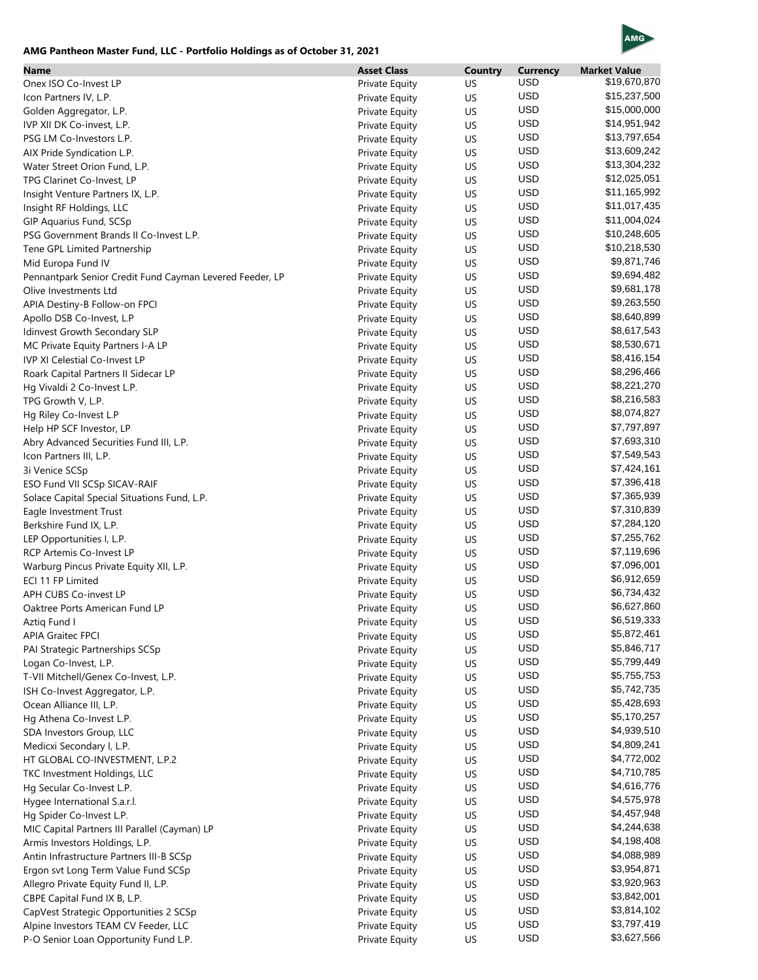## **AMG Pantheon Master Fund, LLC - Portfolio Holdings as of October 31, 2021**



| Name                                                     | <b>Asset Class</b>    | <b>Country</b> | <b>Currency</b> | <b>Market Value</b> |
|----------------------------------------------------------|-----------------------|----------------|-----------------|---------------------|
| Onex ISO Co-Invest LP                                    | Private Equity        | US             | <b>USD</b>      | \$19,670,870        |
| Icon Partners IV, L.P.                                   | <b>Private Equity</b> | US             | <b>USD</b>      | \$15,237,500        |
| Golden Aggregator, L.P.                                  | <b>Private Equity</b> | US             | <b>USD</b>      | \$15,000,000        |
| IVP XII DK Co-invest, L.P.                               | <b>Private Equity</b> | US             | <b>USD</b>      | \$14,951,942        |
| PSG LM Co-Investors L.P.                                 | <b>Private Equity</b> | US             | <b>USD</b>      | \$13,797,654        |
| AIX Pride Syndication L.P.                               | <b>Private Equity</b> | US             | <b>USD</b>      | \$13,609,242        |
| Water Street Orion Fund, L.P.                            | <b>Private Equity</b> | US             | <b>USD</b>      | \$13,304,232        |
| TPG Clarinet Co-Invest, LP                               | Private Equity        | US             | <b>USD</b>      | \$12,025,051        |
| Insight Venture Partners IX, L.P.                        | Private Equity        | US             | <b>USD</b>      | \$11,165,992        |
| Insight RF Holdings, LLC                                 | <b>Private Equity</b> | US             | <b>USD</b>      | \$11,017,435        |
| GIP Aquarius Fund, SCSp                                  | <b>Private Equity</b> | US             | <b>USD</b>      | \$11,004,024        |
| PSG Government Brands II Co-Invest L.P.                  | Private Equity        | US             | <b>USD</b>      | \$10,248,605        |
| Tene GPL Limited Partnership                             | <b>Private Equity</b> | US             | <b>USD</b>      | \$10,218,530        |
| Mid Europa Fund IV                                       | <b>Private Equity</b> | US             | <b>USD</b>      | \$9,871,746         |
| Pennantpark Senior Credit Fund Cayman Levered Feeder, LP | <b>Private Equity</b> | US             | <b>USD</b>      | \$9,694,482         |
| Olive Investments Ltd                                    | Private Equity        | US             | <b>USD</b>      | \$9,681,178         |
| APIA Destiny-B Follow-on FPCI                            | <b>Private Equity</b> | US             | <b>USD</b>      | \$9,263,550         |
| Apollo DSB Co-Invest, L.P                                | Private Equity        | US             | <b>USD</b>      | \$8,640,899         |
| Idinvest Growth Secondary SLP                            | <b>Private Equity</b> | US             | <b>USD</b>      | \$8,617,543         |
| MC Private Equity Partners I-A LP                        | <b>Private Equity</b> | US             | <b>USD</b>      | \$8,530,671         |
| <b>IVP XI Celestial Co-Invest LP</b>                     | Private Equity        | US             | <b>USD</b>      | \$8,416,154         |
| Roark Capital Partners II Sidecar LP                     | <b>Private Equity</b> | US             | <b>USD</b>      | \$8,296,466         |
| Hg Vivaldi 2 Co-Invest L.P.                              | <b>Private Equity</b> | US             | <b>USD</b>      | \$8,221,270         |
| TPG Growth V, L.P.                                       | Private Equity        | US             | <b>USD</b>      | \$8,216,583         |
| Hg Riley Co-Invest L.P                                   | <b>Private Equity</b> | US             | <b>USD</b>      | \$8,074,827         |
| Help HP SCF Investor, LP                                 | Private Equity        | US             | <b>USD</b>      | \$7,797,897         |
| Abry Advanced Securities Fund III, L.P.                  | Private Equity        | US             | <b>USD</b>      | \$7,693,310         |
| Icon Partners III, L.P.                                  | <b>Private Equity</b> | US             | <b>USD</b>      | \$7,549,543         |
| 3i Venice SCSp                                           | <b>Private Equity</b> | US             | <b>USD</b>      | \$7,424,161         |
| ESO Fund VII SCSp SICAV-RAIF                             | <b>Private Equity</b> | US             | <b>USD</b>      | \$7,396,418         |
| Solace Capital Special Situations Fund, L.P.             | Private Equity        | US             | <b>USD</b>      | \$7,365,939         |
| Eagle Investment Trust                                   | <b>Private Equity</b> | US             | <b>USD</b>      | \$7,310,839         |
| Berkshire Fund IX, L.P.                                  | <b>Private Equity</b> | US             | <b>USD</b>      | \$7,284,120         |
| LEP Opportunities I, L.P.                                | Private Equity        | US             | <b>USD</b>      | \$7,255,762         |
| <b>RCP Artemis Co-Invest LP</b>                          | Private Equity        | US             | <b>USD</b>      | \$7,119,696         |
| Warburg Pincus Private Equity XII, L.P.                  | <b>Private Equity</b> | US             | <b>USD</b>      | \$7,096,001         |
| ECI 11 FP Limited                                        | <b>Private Equity</b> | US             | <b>USD</b>      | \$6,912,659         |
| APH CUBS Co-invest LP                                    | Private Equity        | US             | <b>USD</b>      | \$6,734,432         |
| Oaktree Ports American Fund LP                           | Private Equity        | US             | <b>USD</b>      | \$6,627,860         |
| Aztiq Fund I                                             | Private Equity        | US             | <b>USD</b>      | \$6,519,333         |
| <b>APIA Graitec FPCI</b>                                 | Private Equity        | US             | <b>USD</b>      | \$5,872,461         |
| PAI Strategic Partnerships SCSp                          | Private Equity        | US             | <b>USD</b>      | \$5,846,717         |
| Logan Co-Invest, L.P.                                    | Private Equity        | US             | USD             | \$5,799,449         |
| T-VII Mitchell/Genex Co-Invest, L.P.                     | Private Equity        | US             | USD             | \$5,755,753         |
| ISH Co-Invest Aggregator, L.P.                           | Private Equity        | US             | USD             | \$5,742,735         |
| Ocean Alliance III, L.P.                                 | Private Equity        | US             | <b>USD</b>      | \$5,428,693         |
| Hg Athena Co-Invest L.P.                                 | Private Equity        | US             | <b>USD</b>      | \$5,170,257         |
| SDA Investors Group, LLC                                 | Private Equity        | US             | <b>USD</b>      | \$4,939,510         |
| Medicxi Secondary I, L.P.                                | Private Equity        | US             | <b>USD</b>      | \$4,809,241         |
| HT GLOBAL CO-INVESTMENT, L.P.2                           | Private Equity        | US             | <b>USD</b>      | \$4,772,002         |
| TKC Investment Holdings, LLC                             | Private Equity        | US             | <b>USD</b>      | \$4,710,785         |
| Hg Secular Co-Invest L.P.                                | Private Equity        | US             | USD             | \$4,616,776         |
| Hygee International S.a.r.l.                             | Private Equity        | US             | <b>USD</b>      | \$4,575,978         |
| Hg Spider Co-Invest L.P.                                 | Private Equity        | US             | <b>USD</b>      | \$4,457,948         |
| MIC Capital Partners III Parallel (Cayman) LP            | Private Equity        | US             | <b>USD</b>      | \$4,244,638         |
| Armis Investors Holdings, L.P.                           | Private Equity        | US             | <b>USD</b>      | \$4,198,408         |
| Antin Infrastructure Partners III-B SCSp                 | Private Equity        | US             | <b>USD</b>      | \$4,088,989         |
| Ergon svt Long Term Value Fund SCSp                      | Private Equity        | US             | <b>USD</b>      | \$3,954,871         |
| Allegro Private Equity Fund II, L.P.                     | Private Equity        | US             | USD             | \$3,920,963         |
| CBPE Capital Fund IX B, L.P.                             | Private Equity        | US             | USD             | \$3,842,001         |
| CapVest Strategic Opportunities 2 SCSp                   | Private Equity        | US             | USD             | \$3,814,102         |
| Alpine Investors TEAM CV Feeder, LLC                     | Private Equity        | US             | <b>USD</b>      | \$3,797,419         |
| P-O Senior Loan Opportunity Fund L.P.                    | Private Equity        | US             | <b>USD</b>      | \$3,627,566         |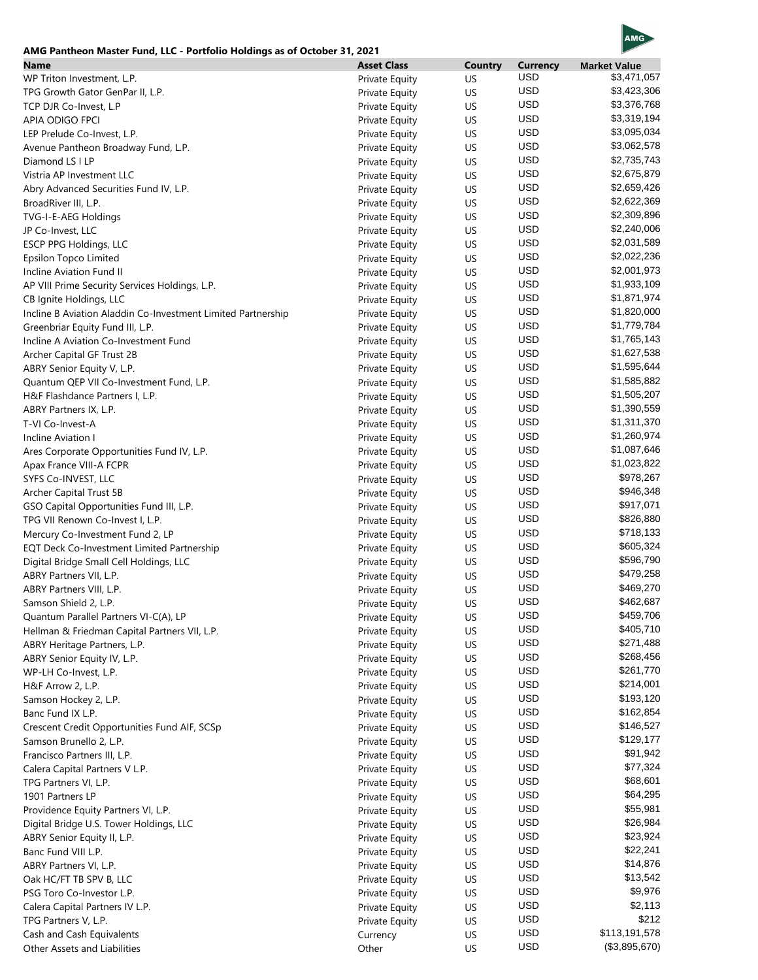## **AMG Pantheon Master Fund, LLC - Portfolio Holdings as of October 31, 2021**



| Name                                                         | <b>Asset Class</b>    | <b>Country</b> | <b>Currency</b> | <b>Market Value</b> |
|--------------------------------------------------------------|-----------------------|----------------|-----------------|---------------------|
| WP Triton Investment, L.P.                                   | Private Equity        | US             | <b>USD</b>      | \$3,471,057         |
| TPG Growth Gator GenPar II, L.P.                             | Private Equity        | US             | <b>USD</b>      | \$3,423,306         |
| TCP DJR Co-Invest, L.P                                       | Private Equity        | US             | <b>USD</b>      | \$3,376,768         |
| APIA ODIGO FPCI                                              | Private Equity        | US             | <b>USD</b>      | \$3,319,194         |
| LEP Prelude Co-Invest, L.P.                                  | Private Equity        | US             | <b>USD</b>      | \$3,095,034         |
| Avenue Pantheon Broadway Fund, L.P.                          | Private Equity        | US             | <b>USD</b>      | \$3,062,578         |
| Diamond LS I LP                                              | Private Equity        | US             | <b>USD</b>      | \$2,735,743         |
| Vistria AP Investment LLC                                    | Private Equity        | US             | <b>USD</b>      | \$2,675,879         |
| Abry Advanced Securities Fund IV, L.P.                       | Private Equity        | US             | <b>USD</b>      | \$2,659,426         |
| BroadRiver III, L.P.                                         | Private Equity        | US             | <b>USD</b>      | \$2,622,369         |
| TVG-I-E-AEG Holdings                                         | Private Equity        | US             | <b>USD</b>      | \$2,309,896         |
| JP Co-Invest, LLC                                            | Private Equity        | US             | <b>USD</b>      | \$2,240,006         |
| ESCP PPG Holdings, LLC                                       | Private Equity        | US             | <b>USD</b>      | \$2,031,589         |
| Epsilon Topco Limited                                        | Private Equity        | US             | <b>USD</b>      | \$2,022,236         |
| Incline Aviation Fund II                                     | Private Equity        | US             | <b>USD</b>      | \$2,001,973         |
| AP VIII Prime Security Services Holdings, L.P.               |                       | US             | <b>USD</b>      | \$1,933,109         |
|                                                              | <b>Private Equity</b> |                | <b>USD</b>      | \$1,871,974         |
| CB Ignite Holdings, LLC                                      | Private Equity        | US             | <b>USD</b>      | \$1,820,000         |
| Incline B Aviation Aladdin Co-Investment Limited Partnership | Private Equity        | US             | <b>USD</b>      | \$1,779,784         |
| Greenbriar Equity Fund III, L.P.                             | <b>Private Equity</b> | US             | <b>USD</b>      |                     |
| Incline A Aviation Co-Investment Fund                        | Private Equity        | US             |                 | \$1,765,143         |
| Archer Capital GF Trust 2B                                   | Private Equity        | US             | <b>USD</b>      | \$1,627,538         |
| ABRY Senior Equity V, L.P.                                   | Private Equity        | US             | <b>USD</b>      | \$1,595,644         |
| Quantum QEP VII Co-Investment Fund, L.P.                     | <b>Private Equity</b> | US             | <b>USD</b>      | \$1,585,882         |
| H&F Flashdance Partners I, L.P.                              | Private Equity        | US             | <b>USD</b>      | \$1,505,207         |
| ABRY Partners IX, L.P.                                       | Private Equity        | US             | <b>USD</b>      | \$1,390,559         |
| T-VI Co-Invest-A                                             | Private Equity        | US             | <b>USD</b>      | \$1,311,370         |
| Incline Aviation I                                           | <b>Private Equity</b> | US             | <b>USD</b>      | \$1,260,974         |
| Ares Corporate Opportunities Fund IV, L.P.                   | <b>Private Equity</b> | US             | <b>USD</b>      | \$1,087,646         |
| Apax France VIII-A FCPR                                      | Private Equity        | US             | <b>USD</b>      | \$1,023,822         |
| SYFS Co-INVEST, LLC                                          | <b>Private Equity</b> | US             | <b>USD</b>      | \$978,267           |
| Archer Capital Trust 5B                                      | <b>Private Equity</b> | US             | <b>USD</b>      | \$946,348           |
| GSO Capital Opportunities Fund III, L.P.                     | Private Equity        | US             | <b>USD</b>      | \$917,071           |
| TPG VII Renown Co-Invest I, L.P.                             | Private Equity        | US             | <b>USD</b>      | \$826,880           |
| Mercury Co-Investment Fund 2, LP                             | <b>Private Equity</b> | US             | <b>USD</b>      | \$718,133           |
| EQT Deck Co-Investment Limited Partnership                   | Private Equity        | US             | <b>USD</b>      | \$605,324           |
| Digital Bridge Small Cell Holdings, LLC                      | Private Equity        | US             | <b>USD</b>      | \$596,790           |
| ABRY Partners VII, L.P.                                      | Private Equity        | US             | <b>USD</b>      | \$479,258           |
| ABRY Partners VIII, L.P.                                     | Private Equity        | US             | <b>USD</b>      | \$469,270           |
| Samson Shield 2, L.P.                                        | Private Equity        | US             | <b>USD</b>      | \$462,687           |
| Quantum Parallel Partners VI-C(A), LP                        | Private Equity        | US             | <b>USD</b>      | \$459,706           |
| Hellman & Friedman Capital Partners VII, L.P.                | Private Equity        | US             | <b>USD</b>      | \$405,710           |
| ABRY Heritage Partners, L.P.                                 | Private Equity        | US             | <b>USD</b>      | \$271,488           |
|                                                              |                       |                | <b>USD</b>      | \$268,456           |
| ABRY Senior Equity IV, L.P.<br>WP-LH Co-Invest, L.P.         | Private Equity        | US<br>US       | USD             | \$261,770           |
|                                                              | Private Equity        |                | USD             | \$214,001           |
| H&F Arrow 2, L.P.                                            | Private Equity        | US             | <b>USD</b>      | \$193,120           |
| Samson Hockey 2, L.P.                                        | Private Equity        | US             | <b>USD</b>      |                     |
| Banc Fund IX L.P.                                            | Private Equity        | US             | <b>USD</b>      | \$162,854           |
| Crescent Credit Opportunities Fund AIF, SCSp                 | Private Equity        | US             |                 | \$146,527           |
| Samson Brunello 2, L.P.                                      | Private Equity        | US             | <b>USD</b>      | \$129,177           |
| Francisco Partners III, L.P.                                 | Private Equity        | US             | <b>USD</b>      | \$91,942            |
| Calera Capital Partners V L.P.                               | <b>Private Equity</b> | US             | <b>USD</b>      | \$77,324            |
| TPG Partners VI, L.P.                                        | Private Equity        | US             | <b>USD</b>      | \$68,601            |
| 1901 Partners LP                                             | Private Equity        | US             | <b>USD</b>      | \$64,295            |
| Providence Equity Partners VI, L.P.                          | Private Equity        | US             | <b>USD</b>      | \$55,981            |
| Digital Bridge U.S. Tower Holdings, LLC                      | Private Equity        | US             | <b>USD</b>      | \$26,984            |
| ABRY Senior Equity II, L.P.                                  | Private Equity        | US             | <b>USD</b>      | \$23,924            |
| Banc Fund VIII L.P.                                          | Private Equity        | US             | <b>USD</b>      | \$22,241            |
| ABRY Partners VI, L.P.                                       | Private Equity        | US             | USD             | \$14,876            |
| Oak HC/FT TB SPV B, LLC                                      | Private Equity        | US             | <b>USD</b>      | \$13,542            |
| PSG Toro Co-Investor L.P.                                    | Private Equity        | US             | <b>USD</b>      | \$9,976             |
| Calera Capital Partners IV L.P.                              | Private Equity        | US             | <b>USD</b>      | \$2,113             |
| TPG Partners V, L.P.                                         | Private Equity        | US             | <b>USD</b>      | \$212               |
| Cash and Cash Equivalents                                    | Currency              | US             | <b>USD</b>      | \$113,191,578       |
| Other Assets and Liabilities                                 | Other                 | US             | <b>USD</b>      | (\$3,895,670)       |